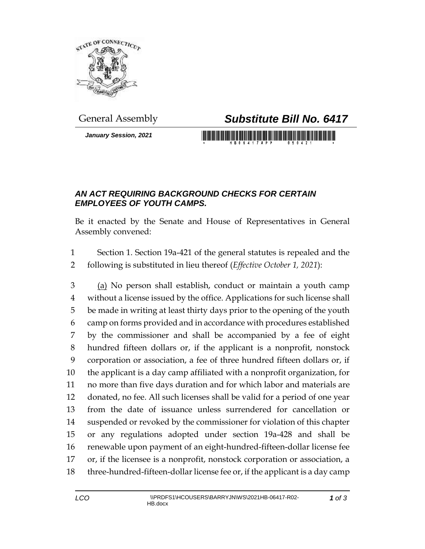

*January Session, 2021*

## General Assembly *Substitute Bill No. 6417*

## *AN ACT REQUIRING BACKGROUND CHECKS FOR CERTAIN EMPLOYEES OF YOUTH CAMPS.*

Be it enacted by the Senate and House of Representatives in General Assembly convened:

 Section 1. Section 19a-421 of the general statutes is repealed and the following is substituted in lieu thereof (*Effective October 1, 2021*):

 (a) No person shall establish, conduct or maintain a youth camp without a license issued by the office. Applications for such license shall be made in writing at least thirty days prior to the opening of the youth camp on forms provided and in accordance with procedures established by the commissioner and shall be accompanied by a fee of eight hundred fifteen dollars or, if the applicant is a nonprofit, nonstock corporation or association, a fee of three hundred fifteen dollars or, if the applicant is a day camp affiliated with a nonprofit organization, for no more than five days duration and for which labor and materials are donated, no fee. All such licenses shall be valid for a period of one year from the date of issuance unless surrendered for cancellation or suspended or revoked by the commissioner for violation of this chapter or any regulations adopted under section 19a-428 and shall be renewable upon payment of an eight-hundred-fifteen-dollar license fee or, if the licensee is a nonprofit, nonstock corporation or association, a three-hundred-fifteen-dollar license fee or, if the applicant is a day camp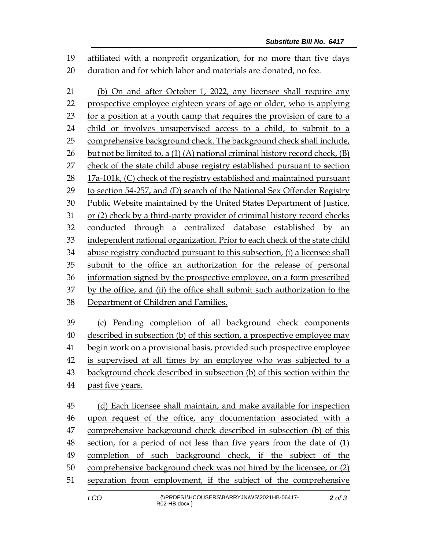affiliated with a nonprofit organization, for no more than five days duration and for which labor and materials are donated, no fee.

 (b) On and after October 1, 2022, any licensee shall require any prospective employee eighteen years of age or older, who is applying for a position at a youth camp that requires the provision of care to a child or involves unsupervised access to a child, to submit to a comprehensive background check. The background check shall include, 26 but not be limited to, a  $(1)$   $(A)$  national criminal history record check,  $(B)$  check of the state child abuse registry established pursuant to section 28 17a-101k, (C) check of the registry established and maintained pursuant to section 54-257, and (D) search of the National Sex Offender Registry Public Website maintained by the United States Department of Justice, or (2) check by a third-party provider of criminal history record checks conducted through a centralized database established by an independent national organization. Prior to each check of the state child abuse registry conducted pursuant to this subsection, (i) a licensee shall submit to the office an authorization for the release of personal information signed by the prospective employee, on a form prescribed by the office, and (ii) the office shall submit such authorization to the Department of Children and Families. (c) Pending completion of all background check components

 described in subsection (b) of this section, a prospective employee may begin work on a provisional basis, provided such prospective employee is supervised at all times by an employee who was subjected to a background check described in subsection (b) of this section within the past five years.

 (d) Each licensee shall maintain, and make available for inspection upon request of the office, any documentation associated with a comprehensive background check described in subsection (b) of this section, for a period of not less than five years from the date of (1) completion of such background check, if the subject of the comprehensive background check was not hired by the licensee, or (2) separation from employment, if the subject of the comprehensive